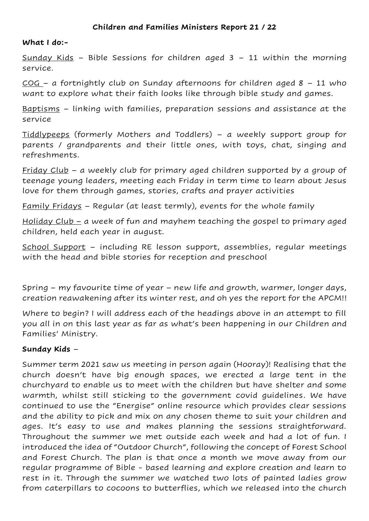## **What I do:-**

Sunday Kids - Bible Sessions for children aged  $3 - 11$  within the morning service.

 $COG - a$  fortnightly club on Sunday afternoons for children aged  $8 - 11$  who want to explore what their faith looks like through bible study and games.

Baptisms – linking with families, preparation sessions and assistance at the service

Tiddlypeeps (formerly Mothers and Toddlers) – a weekly support group for parents / grandparents and their little ones, with toys, chat, singing and refreshments.

Friday Club – a weekly club for primary aged children supported by a group of teenage young leaders, meeting each Friday in term time to learn about Jesus love for them through games, stories, crafts and prayer activities

Family Fridays – Regular (at least termly), events for the whole family

Holiday Club – a week of fun and mayhem teaching the gospel to primary aged children, held each year in august.

School Support – including RE lesson support, assemblies, regular meetings with the head and bible stories for reception and preschool

Spring – my favourite time of year – new life and growth, warmer, longer days, creation reawakening after its winter rest, and oh yes the report for the APCM!!

Where to begin? I will address each of the headings above in an attempt to fill you all in on this last year as far as what's been happening in our Children and Families' Ministry.

## **Sunday Kids** –

Summer term 2021 saw us meeting in person again (Hooray)! Realising that the church doesn't have big enough spaces, we erected a large tent in the churchyard to enable us to meet with the children but have shelter and some warmth, whilst still sticking to the government covid guidelines. We have continued to use the "Energise" online resource which provides clear sessions and the ability to pick and mix on any chosen theme to suit your children and ages. It's easy to use and makes planning the sessions straightforward. Throughout the summer we met outside each week and had a lot of fun. I introduced the idea of "Outdoor Church", following the concept of Forest School and Forest Church. The plan is that once a month we move away from our regular programme of Bible - based learning and explore creation and learn to rest in it. Through the summer we watched two lots of painted ladies grow from caterpillars to cocoons to butterflies, which we released into the church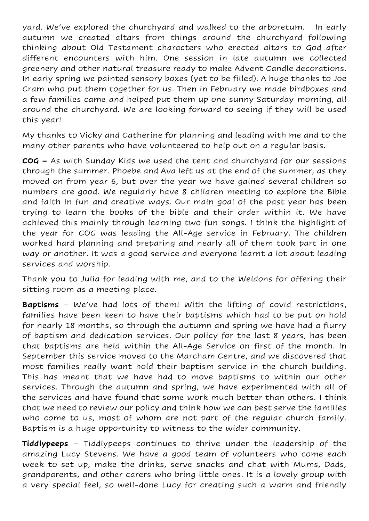yard. We've explored the churchyard and walked to the arboretum. In early autumn we created altars from things around the churchyard following thinking about Old Testament characters who erected altars to God after different encounters with him. One session in late autumn we collected greenery and other natural treasure ready to make Advent Candle decorations. In early spring we painted sensory boxes (yet to be filled). A huge thanks to Joe Cram who put them together for us. Then in February we made birdboxes and a few families came and helped put them up one sunny Saturday morning, all around the churchyard. We are looking forward to seeing if they will be used this year!

My thanks to Vicky and Catherine for planning and leading with me and to the many other parents who have volunteered to help out on a regular basis.

**COG –** As with Sunday Kids we used the tent and churchyard for our sessions through the summer. Phoebe and Ava left us at the end of the summer, as they moved on from year 6, but over the year we have gained several children so numbers are good. We regularly have 8 children meeting to explore the Bible and faith in fun and creative ways. Our main goal of the past year has been trying to learn the books of the bible and their order within it. We have achieved this mainly through learning two fun songs. I think the highlight of the year for COG was leading the All-Age service in February. The children worked hard planning and preparing and nearly all of them took part in one way or another. It was a good service and everyone learnt a lot about leading services and worship.

Thank you to Julia for leading with me, and to the Weldons for offering their sitting room as a meeting place.

**Baptisms** – We've had lots of them! With the lifting of covid restrictions, families have been keen to have their baptisms which had to be put on hold for nearly 18 months, so through the autumn and spring we have had a flurry of baptism and dedication services. Our policy for the last 8 years, has been that baptisms are held within the All-Age Service on first of the month. In September this service moved to the Marcham Centre, and we discovered that most families really want hold their baptism service in the church building. This has meant that we have had to move baptisms to within our other services. Through the autumn and spring, we have experimented with all of the services and have found that some work much better than others. I think that we need to review our policy and think how we can best serve the families who come to us, most of whom are not part of the regular church family. Baptism is a huge opportunity to witness to the wider community.

**Tiddlypeeps** – Tiddlypeeps continues to thrive under the leadership of the amazing Lucy Stevens. We have a good team of volunteers who come each week to set up, make the drinks, serve snacks and chat with Mums, Dads, grandparents, and other carers who bring little ones. It is a lovely group with a very special feel, so well-done Lucy for creating such a warm and friendly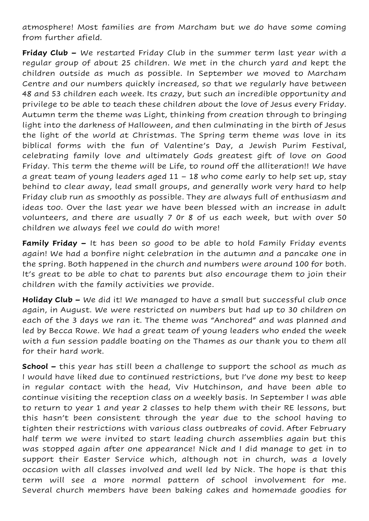atmosphere! Most families are from Marcham but we do have some coming from further afield.

**Friday Club –** We restarted Friday Club in the summer term last year with a regular group of about 25 children. We met in the church yard and kept the children outside as much as possible. In September we moved to Marcham Centre and our numbers quickly increased, so that we regularly have between 48 and 53 children each week. Its crazy, but such an incredible opportunity and privilege to be able to teach these children about the love of Jesus every Friday. Autumn term the theme was Light, thinking from creation through to bringing light into the darkness of Halloween, and then culminating in the birth of Jesus the light of the world at Christmas. The Spring term theme was love in its biblical forms with the fun of Valentine's Day, a Jewish Purim Festival, celebrating family love and ultimately Gods greatest gift of love on Good Friday. This term the theme will be Life, to round off the alliteration!! We have a great team of young leaders aged 11 – 18 who come early to help set up, stay behind to clear away, lead small groups, and generally work very hard to help Friday club run as smoothly as possible. They are always full of enthusiasm and ideas too. Over the last year we have been blessed with an increase in adult volunteers, and there are usually 7 0r 8 of us each week, but with over 50 children we always feel we could do with more!

**Family Friday –** It has been so good to be able to hold Family Friday events again! We had a bonfire night celebration in the autumn and a pancake one in the spring. Both happened in the church and numbers were around 100 for both. It's great to be able to chat to parents but also encourage them to join their children with the family activities we provide.

**Holiday Club –** We did it! We managed to have a small but successful club once again, in August. We were restricted on numbers but had up to 30 children on each of the 3 days we ran it. The theme was "Anchored" and was planned and led by Becca Rowe. We had a great team of young leaders who ended the week with a fun session paddle boating on the Thames as our thank you to them all for their hard work.

**School –** this year has still been a challenge to support the school as much as I would have liked due to continued restrictions, but I've done my best to keep in regular contact with the head, Viv Hutchinson, and have been able to continue visiting the reception class on a weekly basis. In September I was able to return to year 1 and year 2 classes to help them with their RE lessons, but this hasn't been consistent through the year due to the school having to tighten their restrictions with various class outbreaks of covid. After February half term we were invited to start leading church assemblies again but this was stopped again after one appearance! Nick and I did manage to get in to support their Easter Service which, although not in church, was a lovely occasion with all classes involved and well led by Nick. The hope is that this term will see a more normal pattern of school involvement for me. Several church members have been baking cakes and homemade goodies for